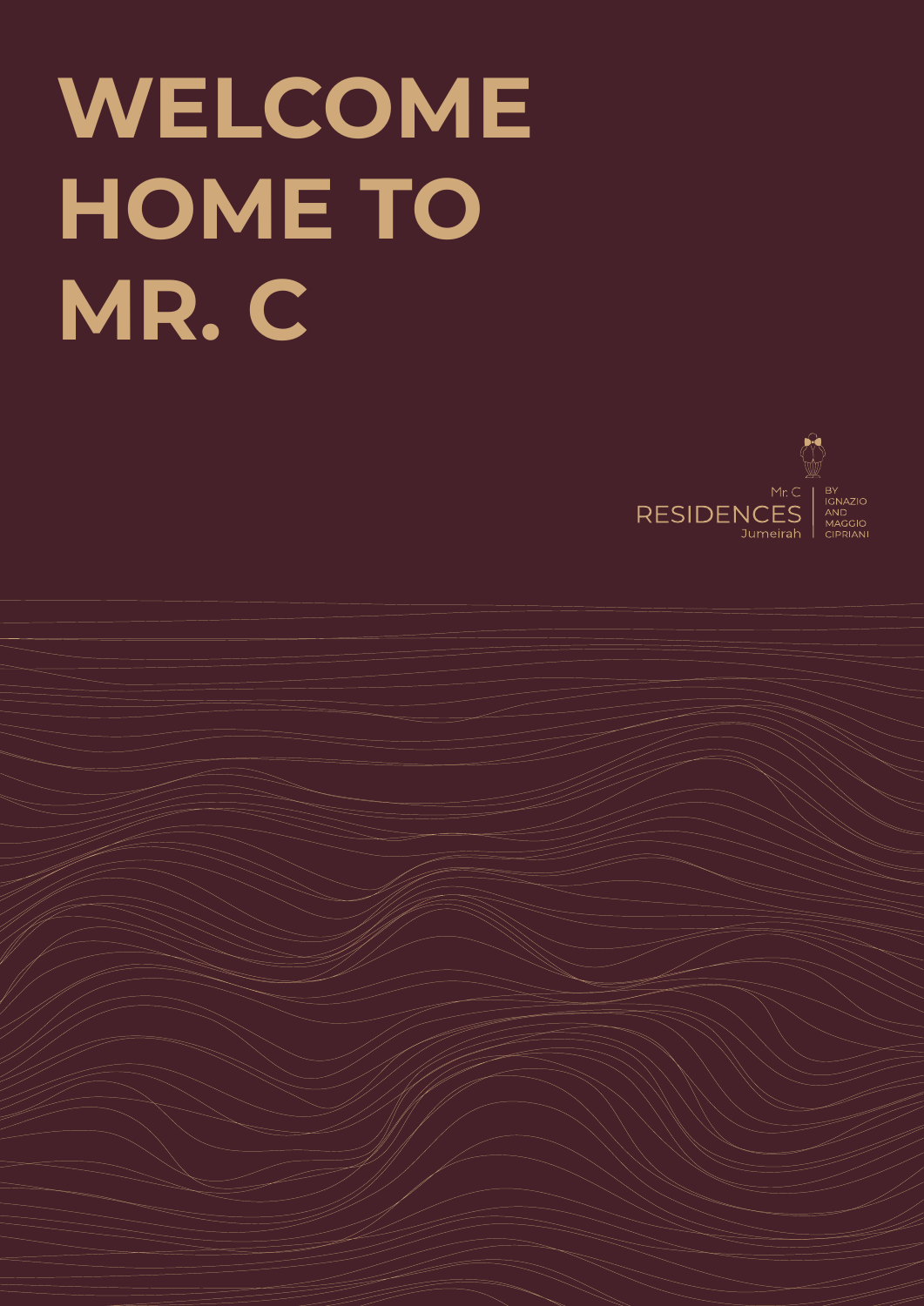# **WELCOME HOME TO MR. C**

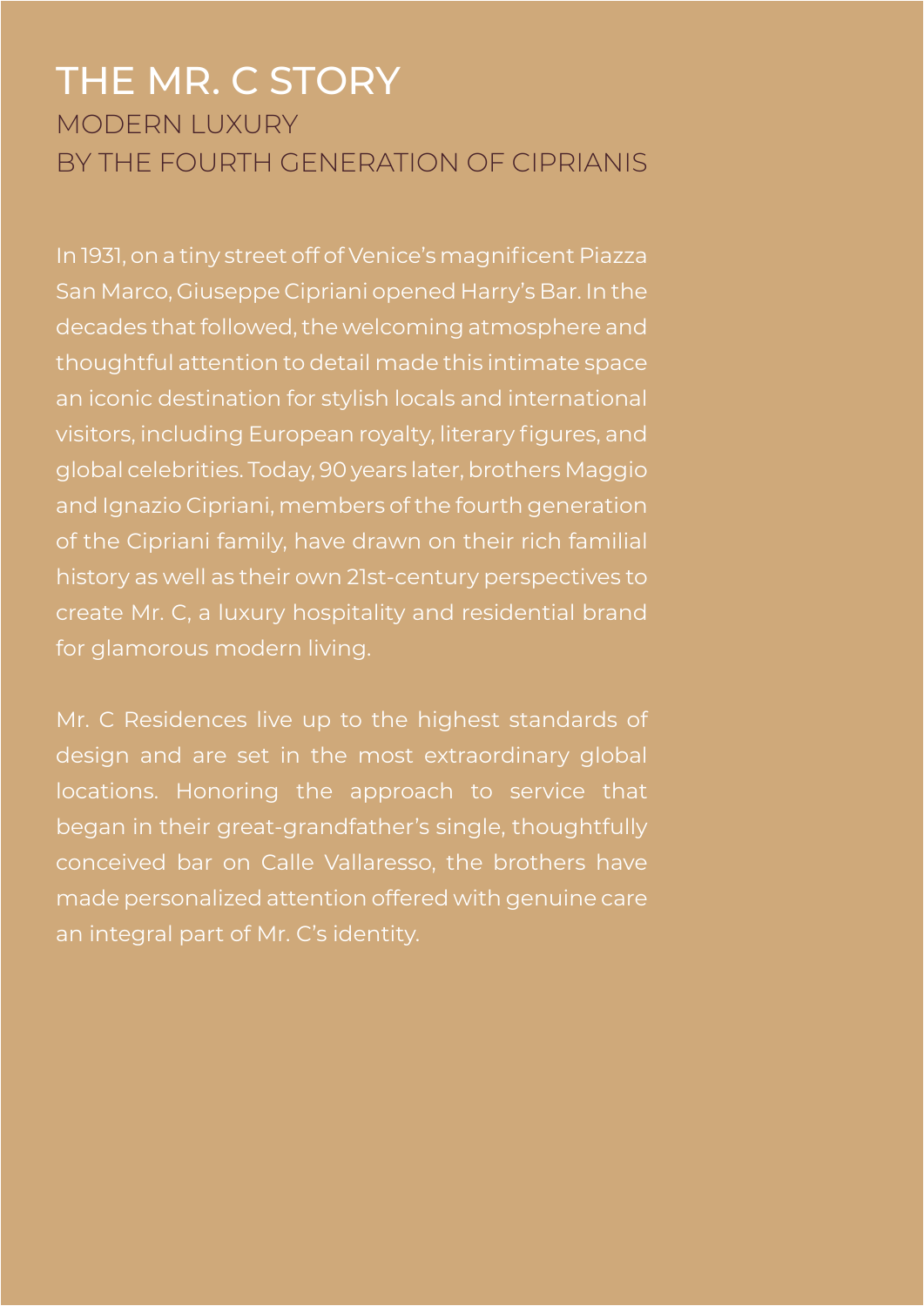## THE MR. C STORY MODERN LUXURY BY THE FOURTH GENERATION OF CIPRIANIS

In 1931, on a tiny street off of Venice's magnificent Piazza San Marco, Giuseppe Cipriani opened Harry's Bar. In the decades that followed, the welcoming atmosphere and thoughtful attention to detail made this intimate space an iconic destination for stylish locals and international visitors, including European royalty, literary figures, and global celebrities. Today, 90 years later, brothers Maggio and Ignazio Cipriani, members of the fourth generation of the Cipriani family, have drawn on their rich familial history as well as their own 21st-century perspectives to create Mr. C, a luxury hospitality and residential brand for glamorous modern living.

Mr. C Residences live up to the highest standards of design and are set in the most extraordinary global locations. Honoring the approach to service that began in their great-grandfather's single, thoughtfully conceived bar on Calle Vallaresso, the brothers have made personalized attention offered with genuine care an integral part of Mr. C's identity.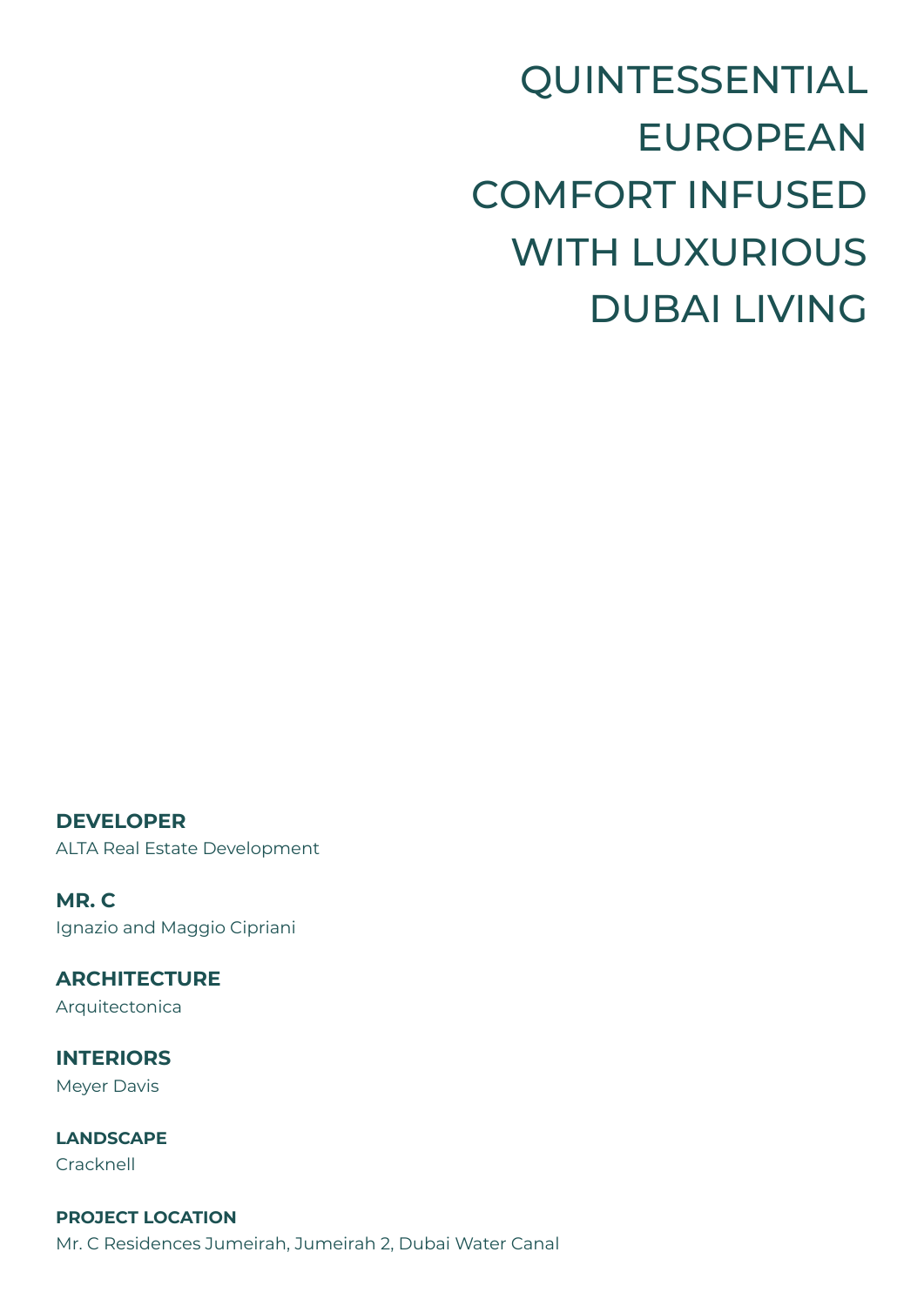QUINTESSENTIAL EUROPEAN COMFORT INFUSED WITH LUXURIOUS DUBAI LIVING

**DEVELOPER** ALTA Real Estate Development

**MR. C** Ignazio and Maggio Cipriani

**ARCHITECTURE** Arquitectonica

**INTERIORS** Meyer Davis

**LANDSCAPE** Cracknell

**PROJECT LOCATION** Mr. C Residences Jumeirah, Jumeirah 2, Dubai Water Canal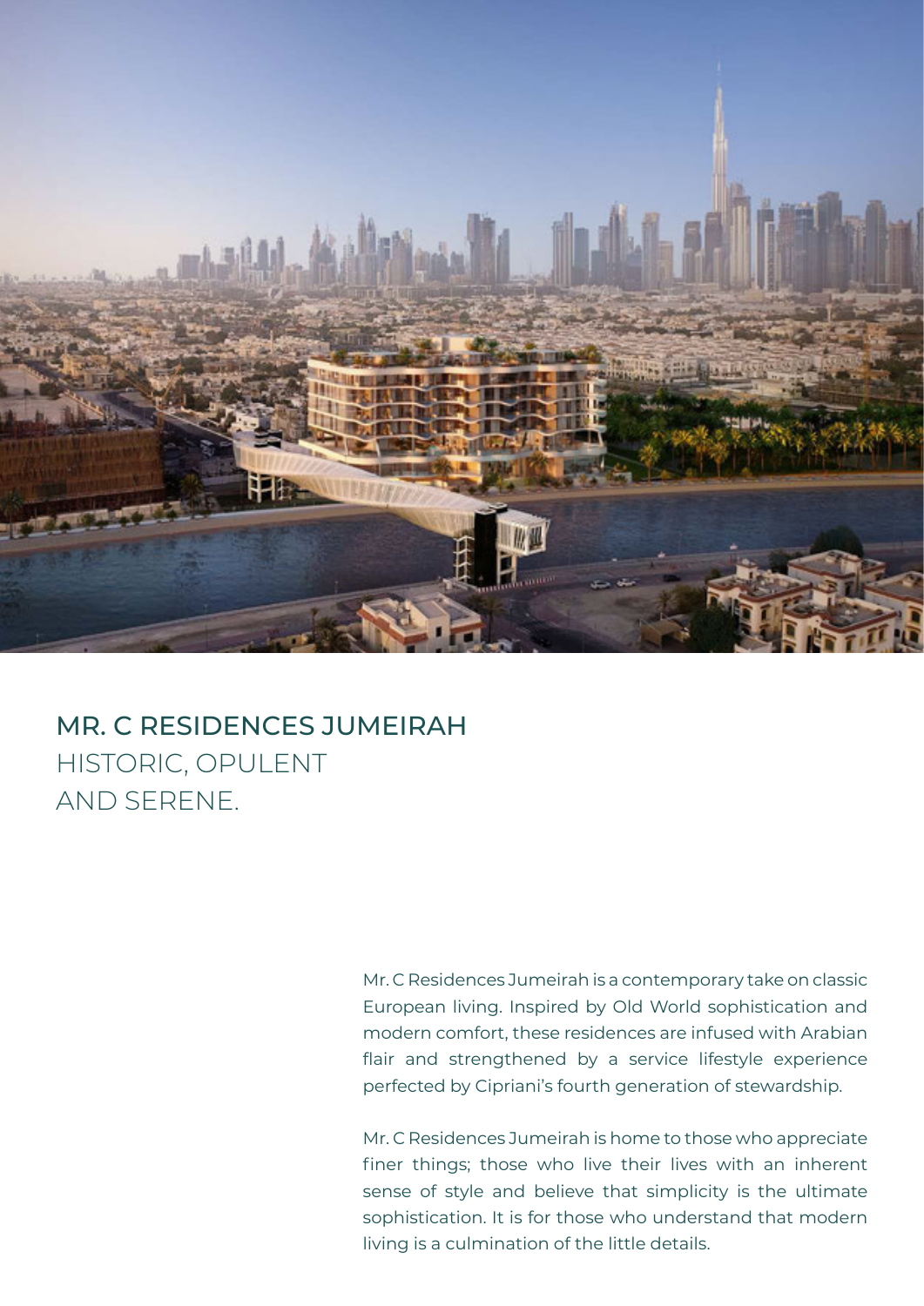

## MR. C RESIDENCES JUMEIRAH HISTORIC, OPULENT AND SERENE.

Mr. C Residences Jumeirah is a contemporary take on classic European living. Inspired by Old World sophistication and modern comfort, these residences are infused with Arabian flair and strengthened by a service lifestyle experience perfected by Cipriani's fourth generation of stewardship.

Mr. C Residences Jumeirah is home to those who appreciate finer things; those who live their lives with an inherent sense of style and believe that simplicity is the ultimate sophistication. It is for those who understand that modern living is a culmination of the little details.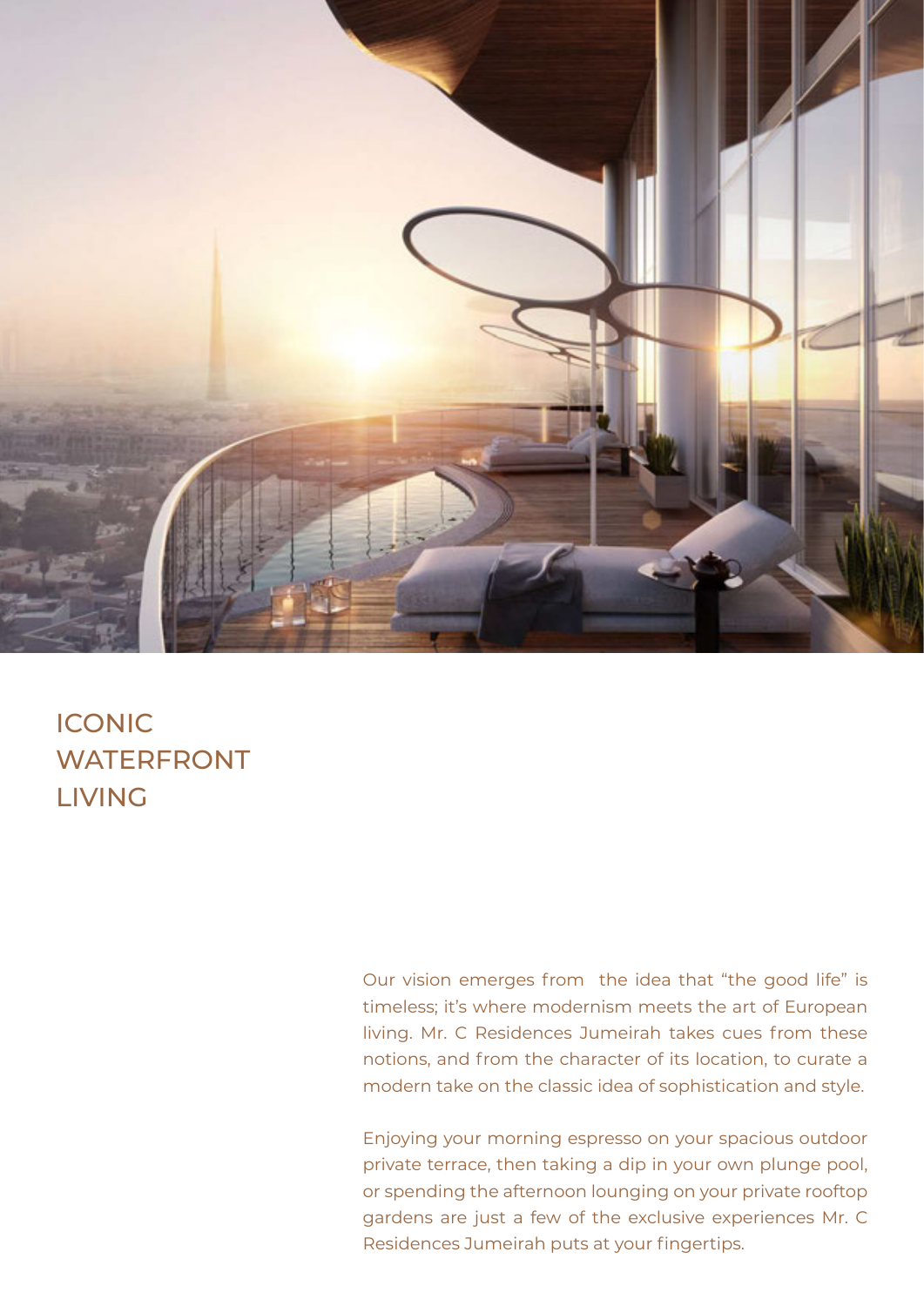

## ICONIC WATERFRONT LIVING

Our vision emerges from the idea that "the good life" is timeless; it's where modernism meets the art of European living. Mr. C Residences Jumeirah takes cues from these notions, and from the character of its location, to curate a modern take on the classic idea of sophistication and style.

Enjoying your morning espresso on your spacious outdoor private terrace, then taking a dip in your own plunge pool, or spending the afternoon lounging on your private rooftop gardens are just a few of the exclusive experiences Mr. C Residences Jumeirah puts at your fingertips.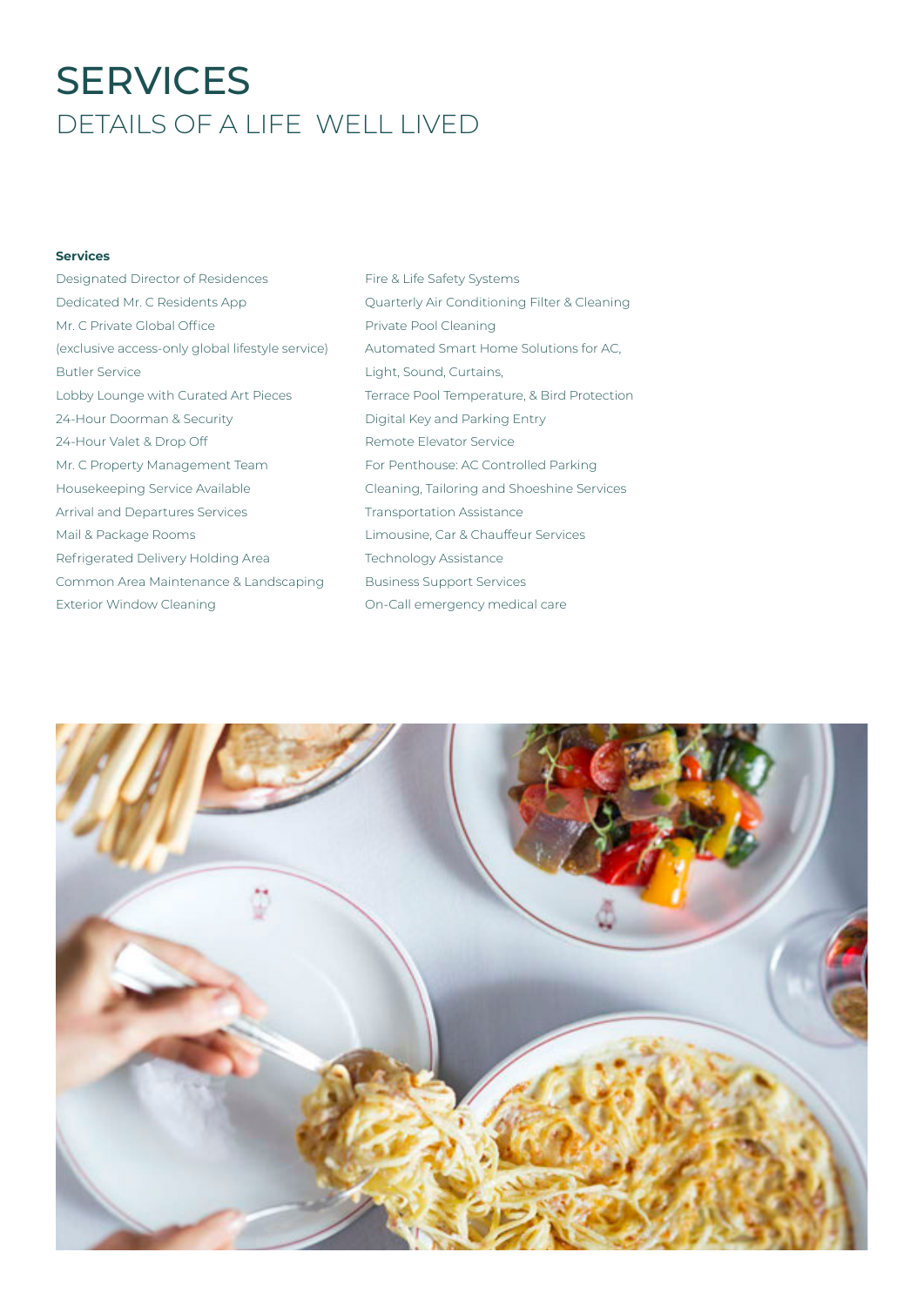# **SERVICES** DETAILS OF A LIFE WELL LIVED

#### **Services**

- Designated Director of Residences Dedicated Mr. C Residents App Mr. C Private Global Office (exclusive access-only global lifestyle service) Butler Service Lobby Lounge with Curated Art Pieces 24-Hour Doorman & Security 24-Hour Valet & Drop Off Mr. C Property Management Team Housekeeping Service Available Arrival and Departures Services Mail & Package Rooms Refrigerated Delivery Holding Area Common Area Maintenance & Landscaping Exterior Window Cleaning
- Fire & Life Safety Systems Quarterly Air Conditioning Filter & Cleaning Private Pool Cleaning Automated Smart Home Solutions for AC, Light, Sound, Curtains, Terrace Pool Temperature, & Bird Protection Digital Key and Parking Entry Remote Elevator Service For Penthouse: AC Controlled Parking Cleaning, Tailoring and Shoeshine Services Transportation Assistance Limousine, Car & Chauffeur Services Technology Assistance Business Support Services On-Call emergency medical care

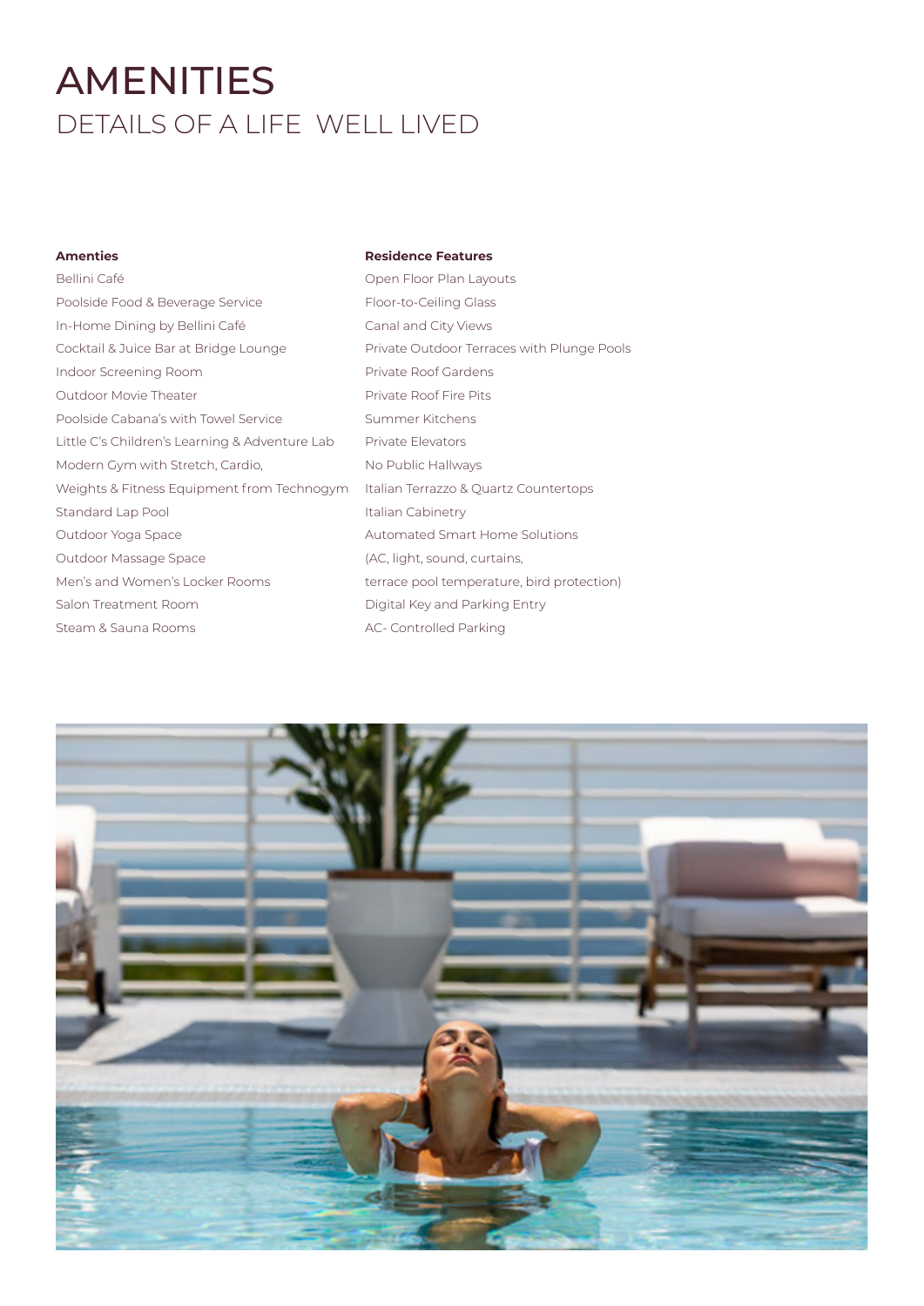# AMENITIES DETAILS OF A LIFE WELL LIVED

#### **Amenties**

#### **Residence Features**

| Bellini Café                                   | Ope    |
|------------------------------------------------|--------|
| Poolside Food & Beverage Service               | Floo   |
| In-Home Dining by Bellini Café                 | Cana   |
| Cocktail & Juice Bar at Bridge Lounge          | Priva  |
| Indoor Screening Room                          | Priva  |
| <b>Outdoor Movie Theater</b>                   | Priva  |
| Poolside Cabana's with Towel Service           | Sum    |
| Little C's Children's Learning & Adventure Lab | Priva  |
| Modern Gym with Stretch, Cardio,               | No F   |
| Weights & Fitness Equipment from Technogym     | Italia |
| Standard Lap Pool                              | Italia |
| Outdoor Yoga Space                             | Auto   |
| Outdoor Massage Space                          | (AC.   |
| Men's and Women's Locker Rooms                 | terra  |
| Salon Treatment Room                           | Digi   |
| Steam & Sauna Rooms                            | AC-    |
|                                                |        |

**Philfrick** Plan Layouts or-to-Ceiling Glass al and City Views ate Outdoor Terraces with Plunge Pools ate Roof Gardens ate Roof Fire Pits nmer Kitchens ate Elevators Public Hallways an Terrazzo & Quartz Countertops an Cabinetry omated Smart Home Solutions light, sound, curtains, ace pool temperature, bird protection) ital Key and Parking Entry Controlled Parking

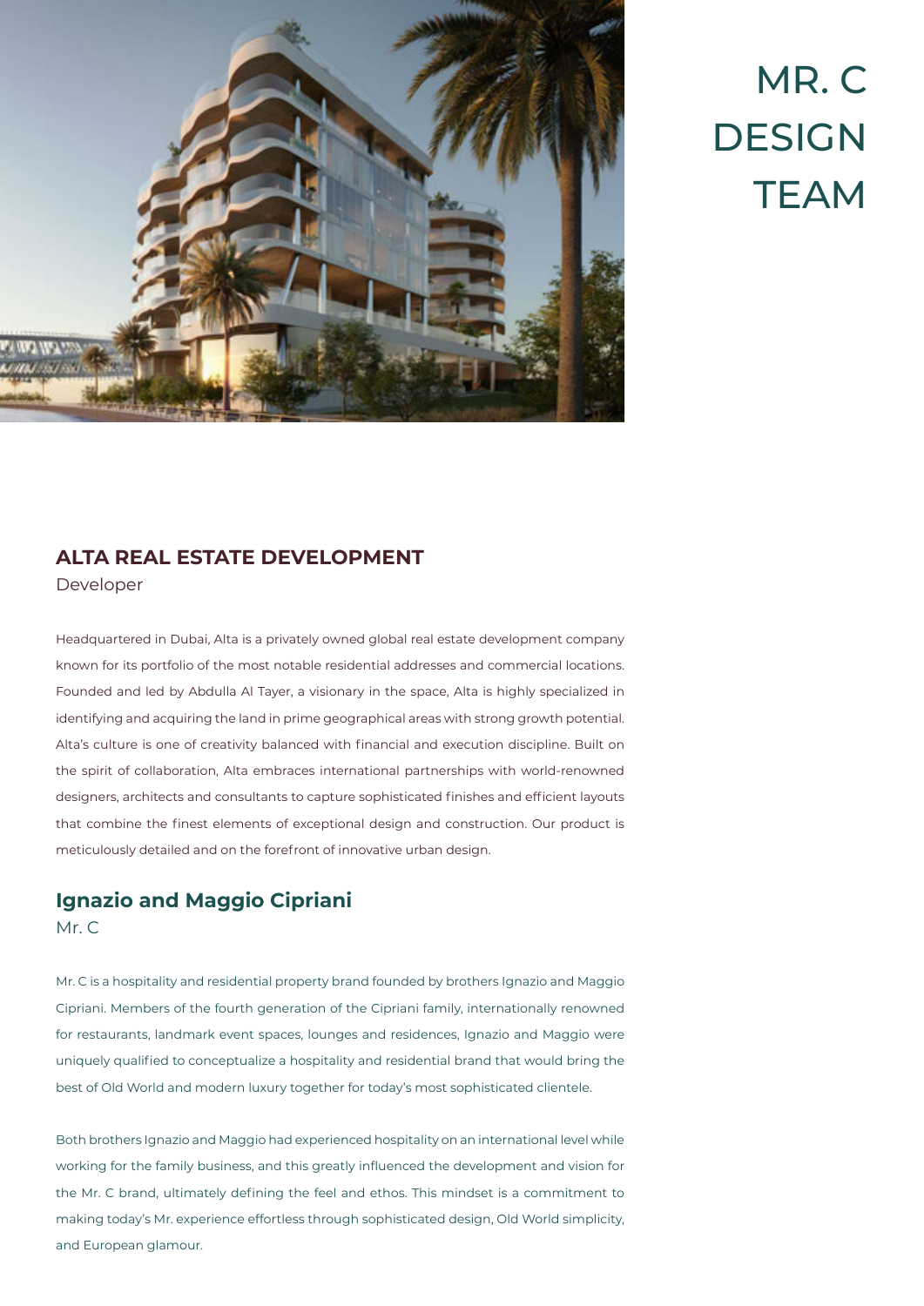

# MR. C **DESIGN TFAM**

#### **ALTA REAL ESTATE DEVELOPMENT**

Developer

Headquartered in Dubai, Alta is a privately owned global real estate development company known for its portfolio of the most notable residential addresses and commercial locations. Founded and led by Abdulla Al Tayer, a visionary in the space, Alta is highly specialized in identifying and acquiring the land in prime geographical areas with strong growth potential. Alta's culture is one of creativity balanced with financial and execution discipline. Built on the spirit of collaboration, Alta embraces international partnerships with world-renowned designers, architects and consultants to capture sophisticated finishes and efficient layouts that combine the finest elements of exceptional design and construction. Our product is meticulously detailed and on the forefront of innovative urban design.

### **Ignazio and Maggio Cipriani**

Mr. C

Mr. C is a hospitality and residential property brand founded by brothers Ignazio and Maggio Cipriani. Members of the fourth generation of the Cipriani family, internationally renowned for restaurants, landmark event spaces, lounges and residences, Ignazio and Maggio were uniquely qualified to conceptualize a hospitality and residential brand that would bring the best of Old World and modern luxury together for today's most sophisticated clientele.

Both brothers Ignazio and Maggio had experienced hospitality on an international level while working for the family business, and this greatly influenced the development and vision for the Mr. C brand, ultimately defining the feel and ethos. This mindset is a commitment to making today's Mr. experience effortless through sophisticated design, Old World simplicity, and European glamour.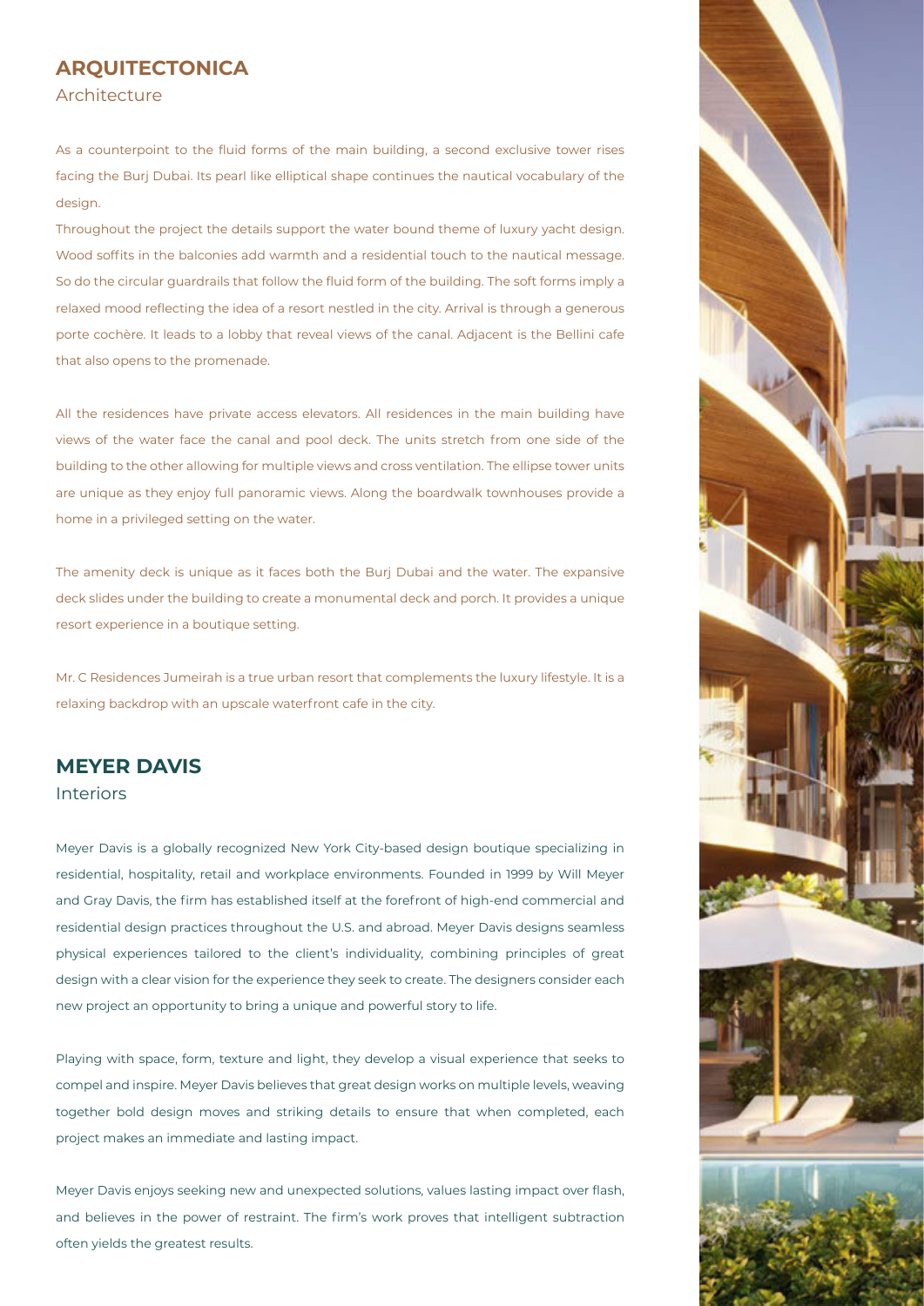#### **ARQUITECTONICA** Architecture

As a counterpoint to the fluid forms of the main building, a second exclusive tower rises facing the Burj Dubai. Its pearl like elliptical shape continues the nautical vocabulary of the design.

Throughout the project the details support the water bound theme of luxury yacht design. Wood soffits in the balconies add warmth and a residential touch to the nautical message. So do the circular guardrails that follow the fluid form of the building. The soft forms imply a relaxed mood reflecting the idea of a resort nestled in the city. Arrival is through a generous porte cochère. It leads to a lobby that reveal views of the canal. Adjacent is the Bellini cafe that also opens to the promenade.

All the residences have private access elevators. All residences in the main building have views of the water face the canal and pool deck. The units stretch from one side of the building to the other allowing for multiple views and cross ventilation. The ellipse tower units are unique as they enjoy full panoramic views. Along the boardwalk townhouses provide a home in a privileged setting on the water.

The amenity deck is unique as it faces both the Burj Dubai and the water. The expansive deck slides under the building to create a monumental deck and porch. It provides a unique resort experience in a boutique setting.

Mr. C Residences Jumeirah is a true urban resort that complements the luxury lifestyle. It is a relaxing backdrop with an upscale waterfront cafe in the city.

#### **MEYER DAVIS** Interiors

Meyer Davis is a globally recognized New York City-based design boutique specializing in residential, hospitality, retail and workplace environments. Founded in 1999 by Will Meyer and Gray Davis, the firm has established itself at the forefront of high-end commercial and residential design practices throughout the U.S. and abroad. Meyer Davis designs seamless physical experiences tailored to the client's individuality, combining principles of great design with a clear vision for the experience they seek to create. The designers consider each new project an opportunity to bring a unique and powerful story to life.

Playing with space, form, texture and light, they develop a visual experience that seeks to compel and inspire. Meyer Davis believes that great design works on multiple levels, weaving together bold design moves and striking details to ensure that when completed, each project makes an immediate and lasting impact.

Meyer Davis enjoys seeking new and unexpected solutions, values lasting impact over flash, and believes in the power of restraint. The firm's work proves that intelligent subtraction often yields the greatest results.

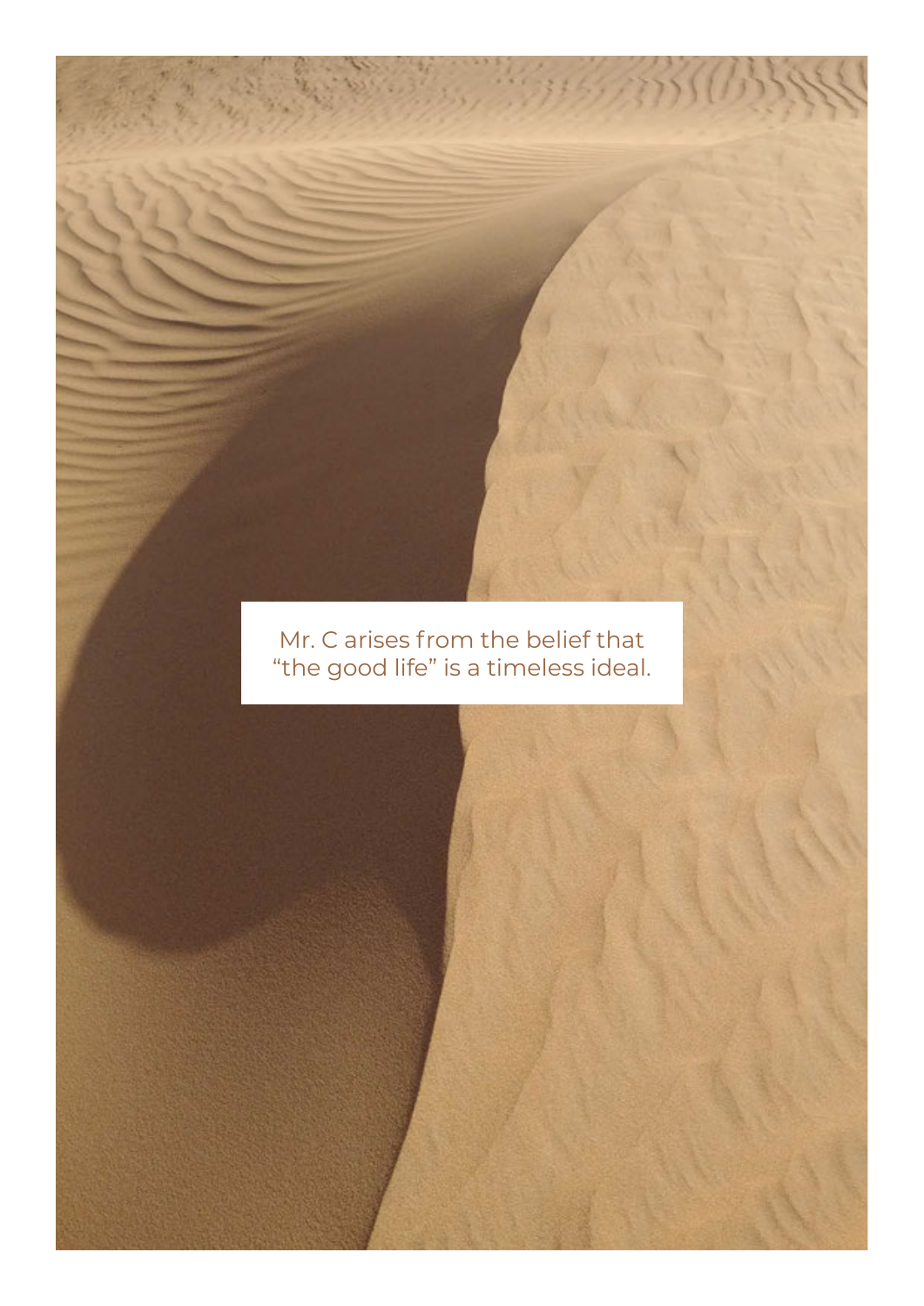## Mr. C arises from the belief that "the good life" is a timeless ideal.